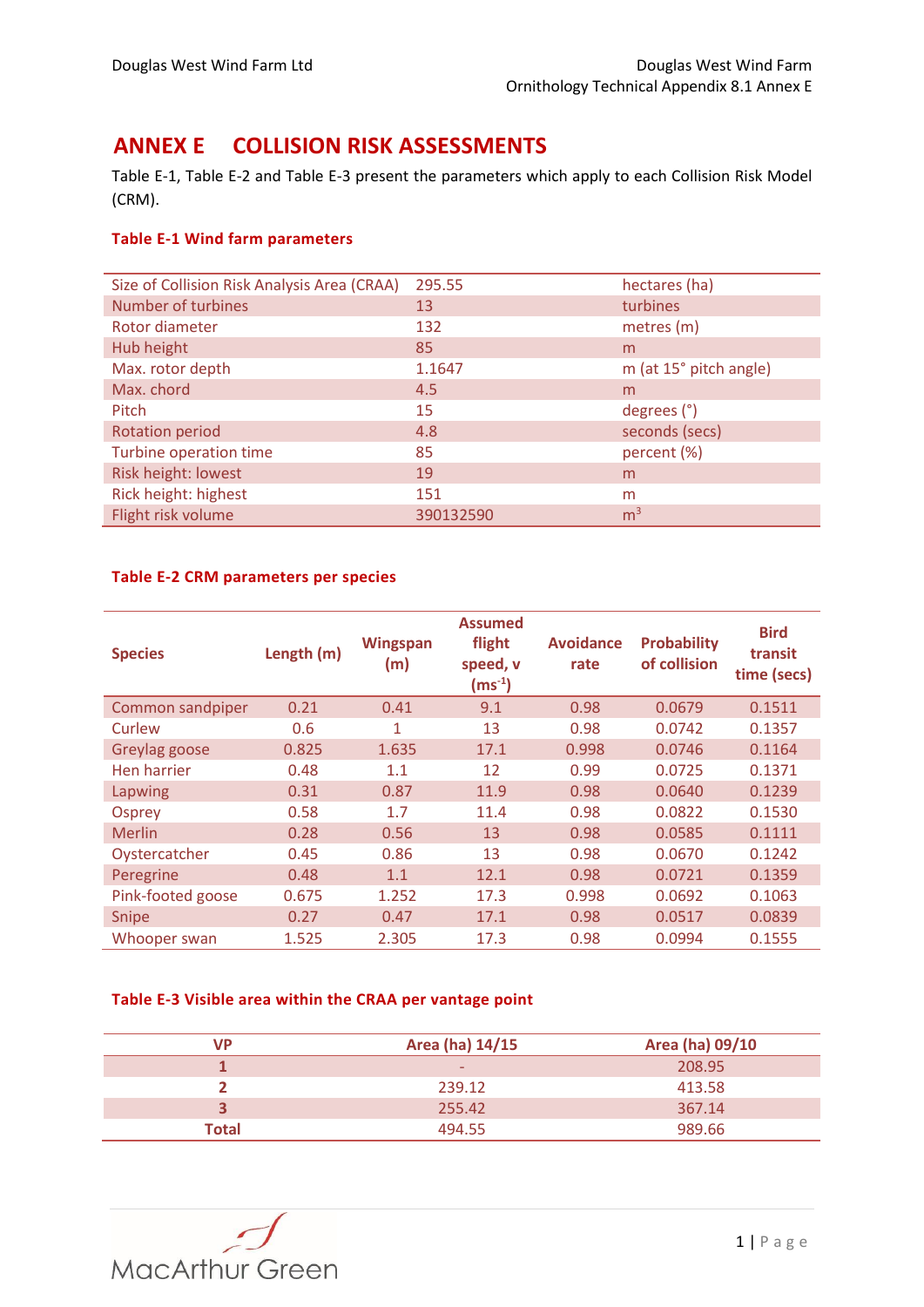# **ANNEX E COLLISION RISK ASSESSMENTS**

[Table E-1,](#page-0-0) [Table E-2](#page-0-1) and [Table E-3](#page-0-2) present the parameters which apply to each Collision Risk Model (CRM).

### <span id="page-0-0"></span>**Table E-1 Wind farm parameters**

| Size of Collision Risk Analysis Area (CRAA) | 295.55    | hectares (ha)          |
|---------------------------------------------|-----------|------------------------|
| Number of turbines                          | 13        | turbines               |
| Rotor diameter                              | 132       | metres (m)             |
| Hub height                                  | 85        | m                      |
| Max. rotor depth                            | 1.1647    | m (at 15° pitch angle) |
| Max. chord                                  | 4.5       | m                      |
| Pitch                                       | 15        | degrees (°)            |
| <b>Rotation period</b>                      | 4.8       | seconds (secs)         |
| Turbine operation time                      | 85        | percent (%)            |
| Risk height: lowest                         | 19        | m                      |
| Rick height: highest                        | 151       | m                      |
| Flight risk volume                          | 390132590 | m <sup>3</sup>         |

#### <span id="page-0-1"></span>**Table E-2 CRM parameters per species**

| <b>Species</b>    | Length (m) | <b>Wingspan</b><br>(m) | <b>Assumed</b><br>flight<br>speed, v<br>$\mathsf{(ms^{\text{-}1})}$ | <b>Avoidance</b><br>rate | <b>Probability</b><br>of collision | <b>Bird</b><br>transit<br>time (secs) |
|-------------------|------------|------------------------|---------------------------------------------------------------------|--------------------------|------------------------------------|---------------------------------------|
| Common sandpiper  | 0.21       | 0.41                   | 9.1                                                                 | 0.98                     | 0.0679                             | 0.1511                                |
| Curlew            | 0.6        | 1                      | 13                                                                  | 0.98                     | 0.0742                             | 0.1357                                |
| Greylag goose     | 0.825      | 1.635                  | 17.1                                                                | 0.998                    | 0.0746                             | 0.1164                                |
| Hen harrier       | 0.48       | 1.1                    | 12                                                                  | 0.99                     | 0.0725                             | 0.1371                                |
| Lapwing           | 0.31       | 0.87                   | 11.9                                                                | 0.98                     | 0.0640                             | 0.1239                                |
| Osprey            | 0.58       | 1.7                    | 11.4                                                                | 0.98                     | 0.0822                             | 0.1530                                |
| <b>Merlin</b>     | 0.28       | 0.56                   | 13                                                                  | 0.98                     | 0.0585                             | 0.1111                                |
| Oystercatcher     | 0.45       | 0.86                   | 13                                                                  | 0.98                     | 0.0670                             | 0.1242                                |
| Peregrine         | 0.48       | 1.1                    | 12.1                                                                | 0.98                     | 0.0721                             | 0.1359                                |
| Pink-footed goose | 0.675      | 1.252                  | 17.3                                                                | 0.998                    | 0.0692                             | 0.1063                                |
| <b>Snipe</b>      | 0.27       | 0.47                   | 17.1                                                                | 0.98                     | 0.0517                             | 0.0839                                |
| Whooper swan      | 1.525      | 2.305                  | 17.3                                                                | 0.98                     | 0.0994                             | 0.1555                                |

### <span id="page-0-2"></span>**Table E-3 Visible area within the CRAA per vantage point**

| VP           | Area (ha) 14/15          | Area (ha) 09/10 |
|--------------|--------------------------|-----------------|
|              | $\overline{\phantom{0}}$ | 208.95          |
|              | 239.12                   | 413.58          |
|              | 255.42                   | 367.14          |
| <b>Total</b> | 494.55                   | 989.66          |

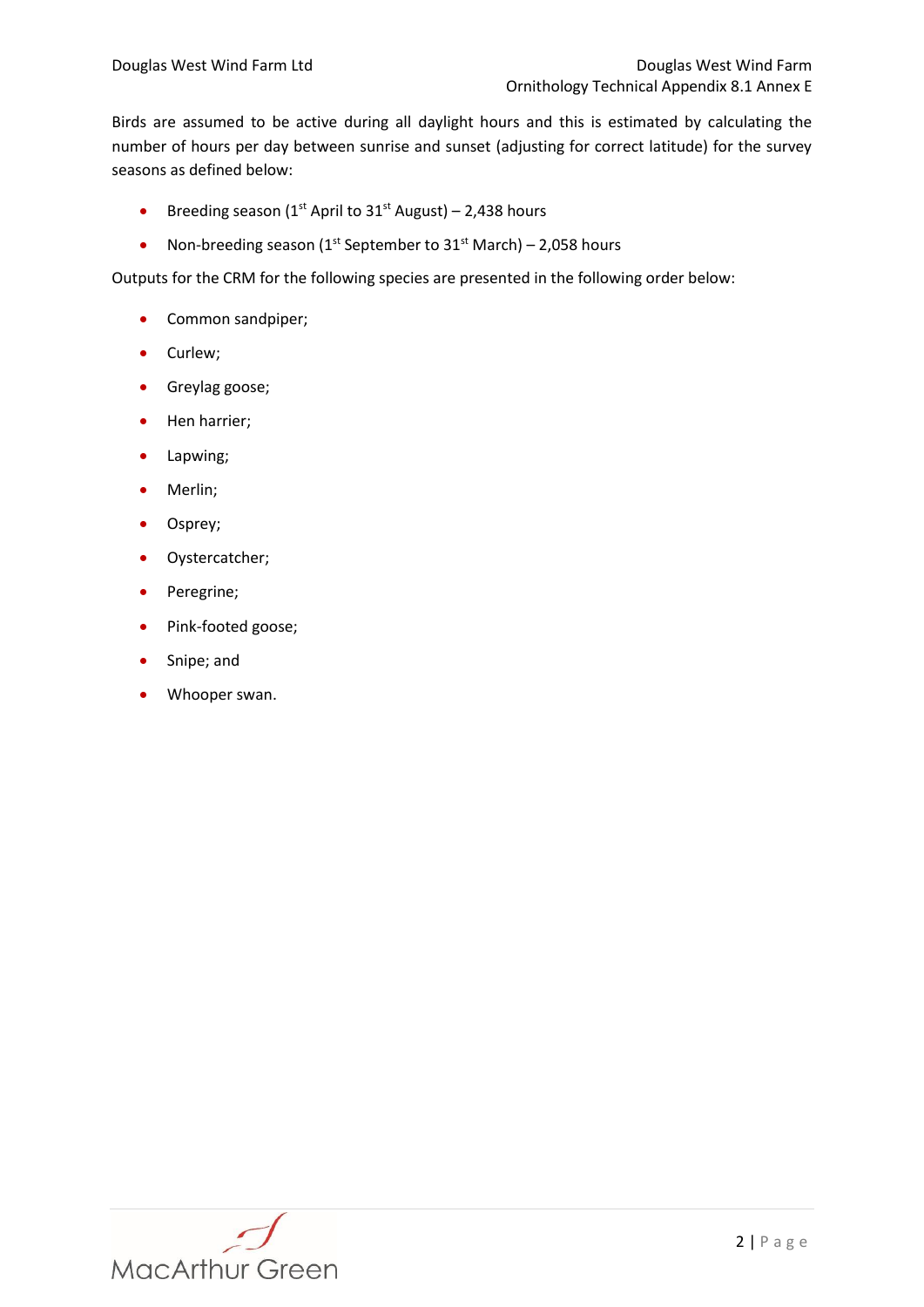Birds are assumed to be active during all daylight hours and this is estimated by calculating the number of hours per day between sunrise and sunset (adjusting for correct latitude) for the survey seasons as defined below:

- **Breeding season (1st April to 31st August) 2,438 hours**
- Non-breeding season ( $1^{st}$  September to  $31^{st}$  March) 2,058 hours

Outputs for the CRM for the following species are presented in the following order below:

- Common sandpiper;
- Curlew;
- **•** Greylag goose;
- Hen harrier;
- Lapwing;
- Merlin;
- Osprey;
- Oystercatcher;
- Peregrine;
- Pink-footed goose;
- Snipe; and
- Whooper swan.

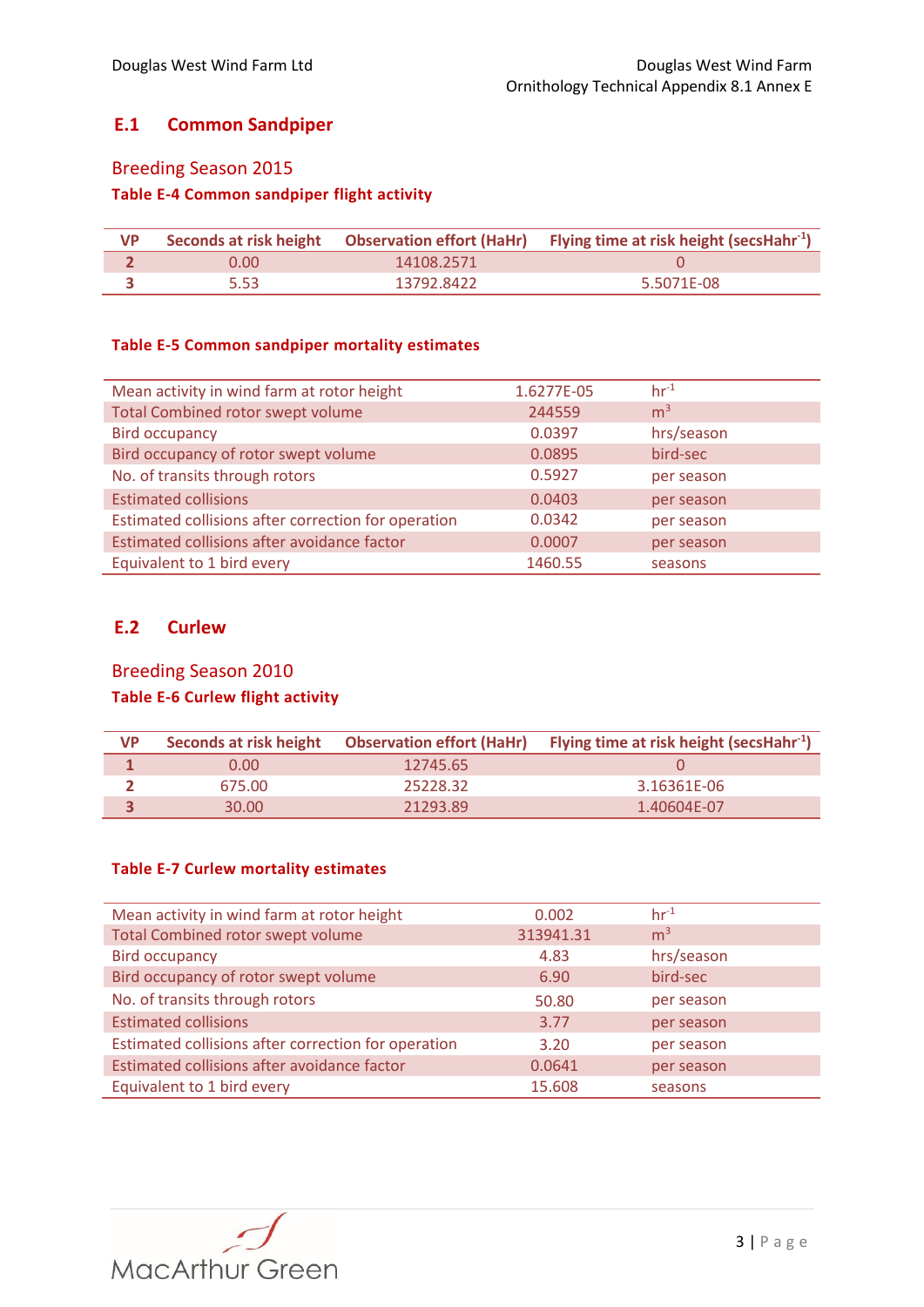## **E.1 Common Sandpiper**

## Breeding Season 2015

## **Table E-4 Common sandpiper flight activity**

| <b>VP</b> |       |            | Seconds at risk height Observation effort (HaHr) Flying time at risk height (secsHahr <sup>-1</sup> ) |
|-----------|-------|------------|-------------------------------------------------------------------------------------------------------|
|           | 0.00. | 14108.2571 |                                                                                                       |
|           | 5.53  | 13792.8422 | 5.5071F-08                                                                                            |

#### **Table E-5 Common sandpiper mortality estimates**

| Mean activity in wind farm at rotor height          | 1.6277E-05 | $hr-1$         |
|-----------------------------------------------------|------------|----------------|
| <b>Total Combined rotor swept volume</b>            | 244559     | m <sup>3</sup> |
| <b>Bird occupancy</b>                               | 0.0397     | hrs/season     |
| Bird occupancy of rotor swept volume                | 0.0895     | bird-sec       |
| No. of transits through rotors                      | 0.5927     | per season     |
| <b>Estimated collisions</b>                         | 0.0403     | per season     |
| Estimated collisions after correction for operation | 0.0342     | per season     |
| Estimated collisions after avoidance factor         | 0.0007     | per season     |
| Equivalent to 1 bird every                          | 1460.55    | seasons        |

## **E.2 Curlew**

# Breeding Season 2010 **Table E-6 Curlew flight activity**

| <b>VP</b> | Seconds at risk height |          | <b>Observation effort (HaHr)</b> Flying time at risk height (secsHahr <sup>-1</sup> ) |
|-----------|------------------------|----------|---------------------------------------------------------------------------------------|
|           | 0.00                   | 12745.65 |                                                                                       |
|           | 675.00                 | 25228.32 | 3.16361E-06                                                                           |
|           | 30.00                  | 21293.89 | 1.40604F-07                                                                           |

#### **Table E-7 Curlew mortality estimates**

| Mean activity in wind farm at rotor height          | 0.002     | $hr^{-1}$      |
|-----------------------------------------------------|-----------|----------------|
| <b>Total Combined rotor swept volume</b>            | 313941.31 | m <sup>3</sup> |
| <b>Bird occupancy</b>                               | 4.83      | hrs/season     |
| Bird occupancy of rotor swept volume                | 6.90      | bird-sec       |
| No. of transits through rotors                      | 50.80     | per season     |
| <b>Estimated collisions</b>                         | 3.77      | per season     |
| Estimated collisions after correction for operation | 3.20      | per season     |
| Estimated collisions after avoidance factor         | 0.0641    | per season     |
| Equivalent to 1 bird every                          | 15.608    | seasons        |

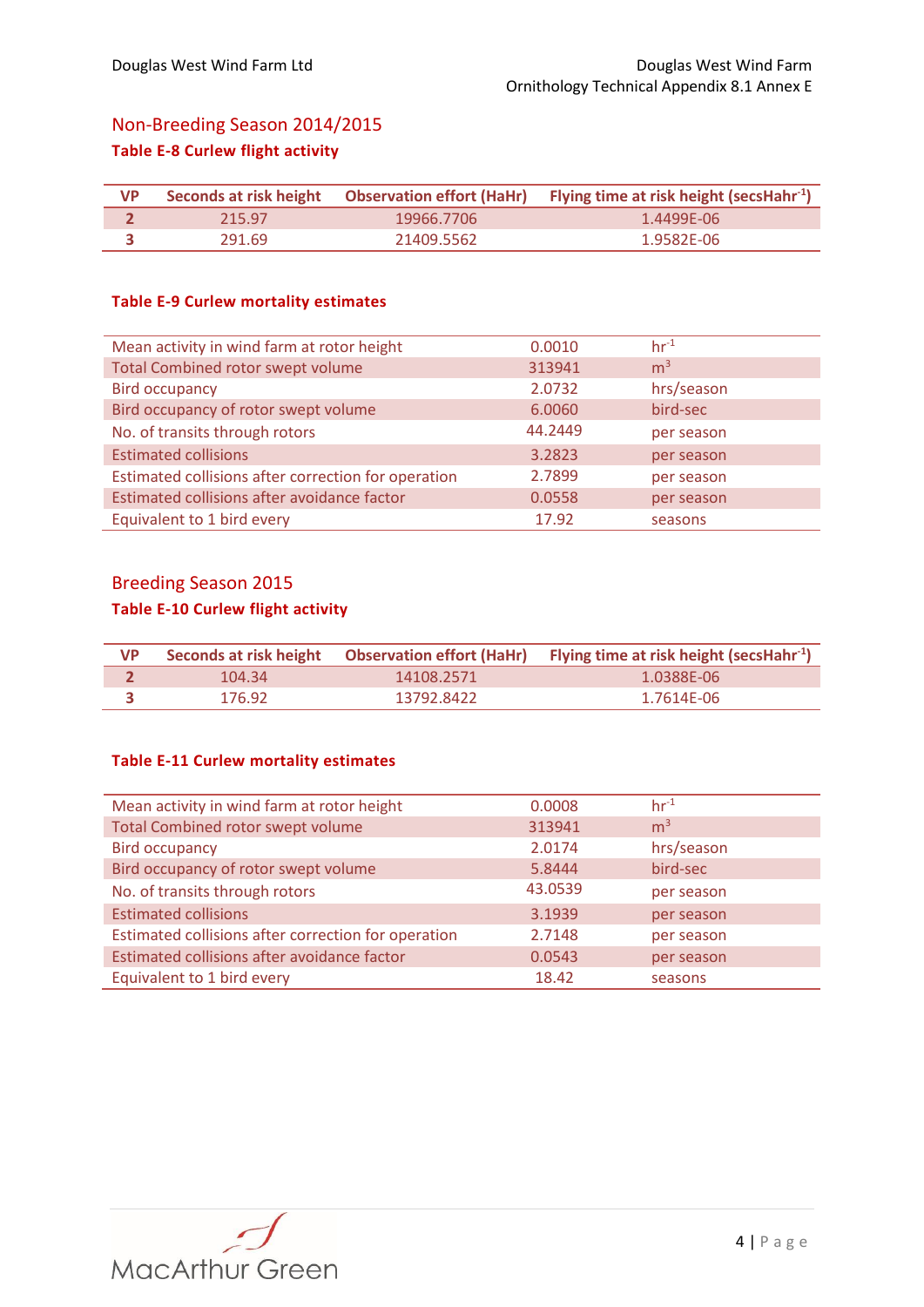# Non-Breeding Season 2014/2015 **Table E-8 Curlew flight activity**

| <b>VP</b> |        |            | Seconds at risk height Observation effort (HaHr) Flying time at risk height (secsHahr <sup>-1</sup> ) |
|-----------|--------|------------|-------------------------------------------------------------------------------------------------------|
|           | 215.97 | 19966.7706 | 1.4499E-06                                                                                            |
|           | 291.69 | 21409.5562 | 1.9582E-06                                                                                            |

#### **Table E-9 Curlew mortality estimates**

| Mean activity in wind farm at rotor height          | 0.0010  | $hr-1$         |
|-----------------------------------------------------|---------|----------------|
| <b>Total Combined rotor swept volume</b>            | 313941  | m <sup>3</sup> |
| <b>Bird occupancy</b>                               | 2.0732  | hrs/season     |
| Bird occupancy of rotor swept volume                | 6.0060  | bird-sec       |
| No. of transits through rotors                      | 44.2449 | per season     |
| <b>Estimated collisions</b>                         | 3.2823  | per season     |
| Estimated collisions after correction for operation | 2.7899  | per season     |
| Estimated collisions after avoidance factor         | 0.0558  | per season     |
| Equivalent to 1 bird every                          | 17.92   | seasons        |

## Breeding Season 2015

# **Table E-10 Curlew flight activity**

| <b>VP</b> |        |            | Seconds at risk height Observation effort (HaHr) Flying time at risk height (secsHahr <sup>-1</sup> ) |
|-----------|--------|------------|-------------------------------------------------------------------------------------------------------|
|           | 104.34 | 14108.2571 | 1.0388F-06                                                                                            |
|           | 176.92 | 13792.8422 | 1.7614F-06                                                                                            |

### **Table E-11 Curlew mortality estimates**

| Mean activity in wind farm at rotor height          | 0.0008  | $hr-1$         |
|-----------------------------------------------------|---------|----------------|
| <b>Total Combined rotor swept volume</b>            | 313941  | m <sup>3</sup> |
| <b>Bird occupancy</b>                               | 2.0174  | hrs/season     |
| Bird occupancy of rotor swept volume                | 5.8444  | bird-sec       |
| No. of transits through rotors                      | 43.0539 | per season     |
| <b>Estimated collisions</b>                         | 3.1939  | per season     |
| Estimated collisions after correction for operation | 2.7148  | per season     |
| Estimated collisions after avoidance factor         | 0.0543  | per season     |
| Equivalent to 1 bird every                          | 18.42   | seasons        |

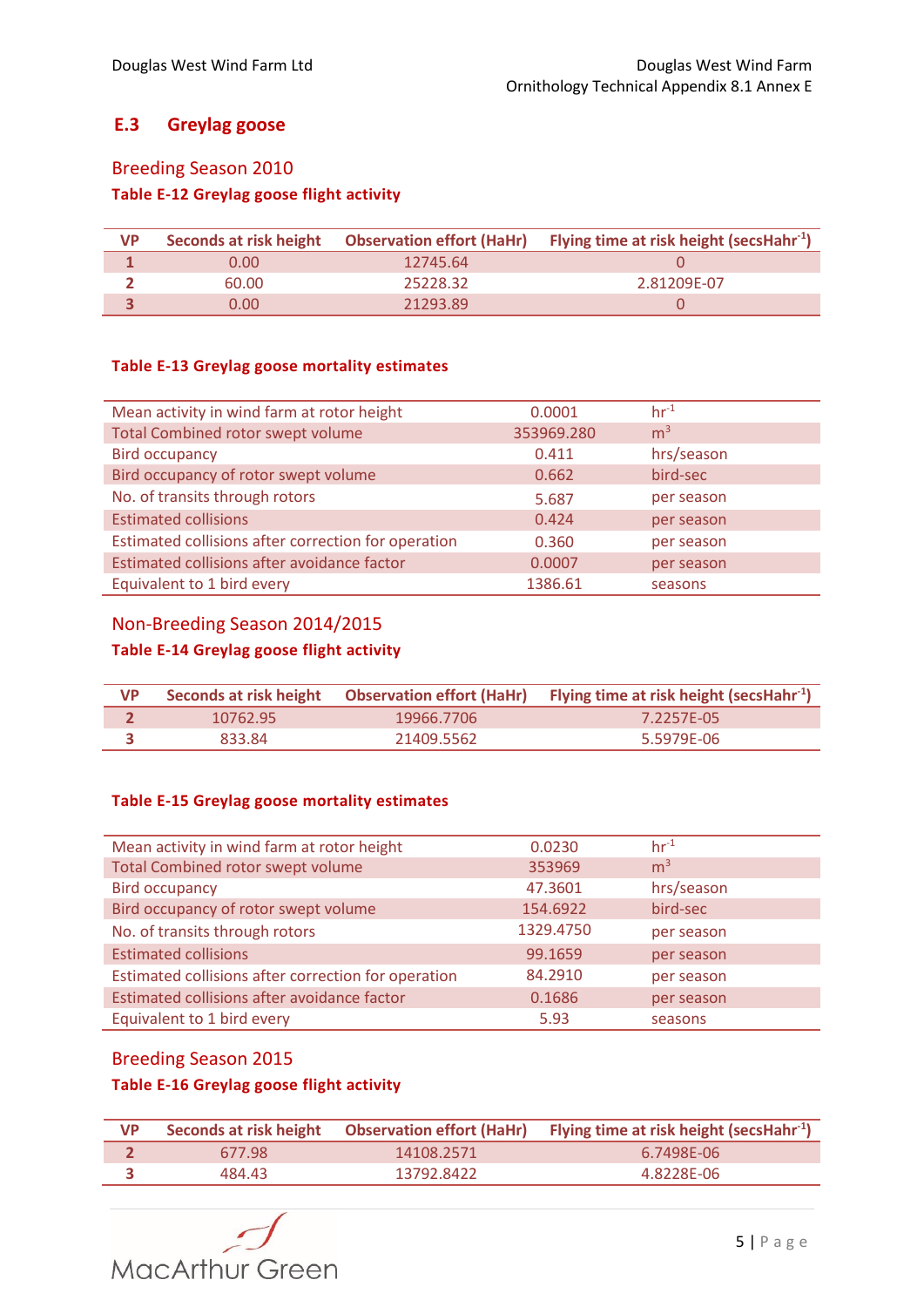## **E.3 Greylag goose**

## Breeding Season 2010

## **Table E-12 Greylag goose flight activity**

| <b>VP</b> |       | Seconds at risk height  Observation effort (HaHr) | Flying time at risk height (secsHahr $^{-1}$ ) |
|-----------|-------|---------------------------------------------------|------------------------------------------------|
|           | 0.00. | 12745.64                                          |                                                |
|           | 60.00 | 25228.32                                          | 2.81209E-07                                    |
|           | 0.00. | 21293.89                                          |                                                |

### **Table E-13 Greylag goose mortality estimates**

| Mean activity in wind farm at rotor height          | 0.0001     | $hr^{-1}$      |
|-----------------------------------------------------|------------|----------------|
| <b>Total Combined rotor swept volume</b>            | 353969.280 | m <sup>3</sup> |
| <b>Bird occupancy</b>                               | 0.411      | hrs/season     |
| Bird occupancy of rotor swept volume                | 0.662      | bird-sec       |
| No. of transits through rotors                      | 5.687      | per season     |
| <b>Estimated collisions</b>                         | 0.424      | per season     |
| Estimated collisions after correction for operation | 0.360      | per season     |
| Estimated collisions after avoidance factor         | 0.0007     | per season     |
| Equivalent to 1 bird every                          | 1386.61    | seasons        |

## Non-Breeding Season 2014/2015

## **Table E-14 Greylag goose flight activity**

| VP |          |            | Seconds at risk height Observation effort (HaHr) Flying time at risk height (secsHahr <sup>1</sup> ) |
|----|----------|------------|------------------------------------------------------------------------------------------------------|
|    | 10762.95 | 19966.7706 | 7.2257F-05                                                                                           |
|    | 833.84   | 21409.5562 | 5.5979F-06                                                                                           |

#### **Table E-15 Greylag goose mortality estimates**

| Mean activity in wind farm at rotor height          | 0.0230    | $hr-1$         |
|-----------------------------------------------------|-----------|----------------|
| <b>Total Combined rotor swept volume</b>            | 353969    | m <sup>3</sup> |
| <b>Bird occupancy</b>                               | 47.3601   | hrs/season     |
| Bird occupancy of rotor swept volume                | 154.6922  | bird-sec       |
| No. of transits through rotors                      | 1329.4750 | per season     |
| <b>Estimated collisions</b>                         | 99.1659   | per season     |
| Estimated collisions after correction for operation | 84.2910   | per season     |
| Estimated collisions after avoidance factor         | 0.1686    | per season     |
| Equivalent to 1 bird every                          | 5.93      | seasons        |

## Breeding Season 2015

## **Table E-16 Greylag goose flight activity**

| <b>VP</b> |        |            | Seconds at risk height Observation effort (HaHr) Flying time at risk height (secsHahr <sup>-1</sup> ) |
|-----------|--------|------------|-------------------------------------------------------------------------------------------------------|
|           | 677.98 | 14108.2571 | 6.7498F-06                                                                                            |
|           | 484.43 | 13792.8422 | 4.8228F-06                                                                                            |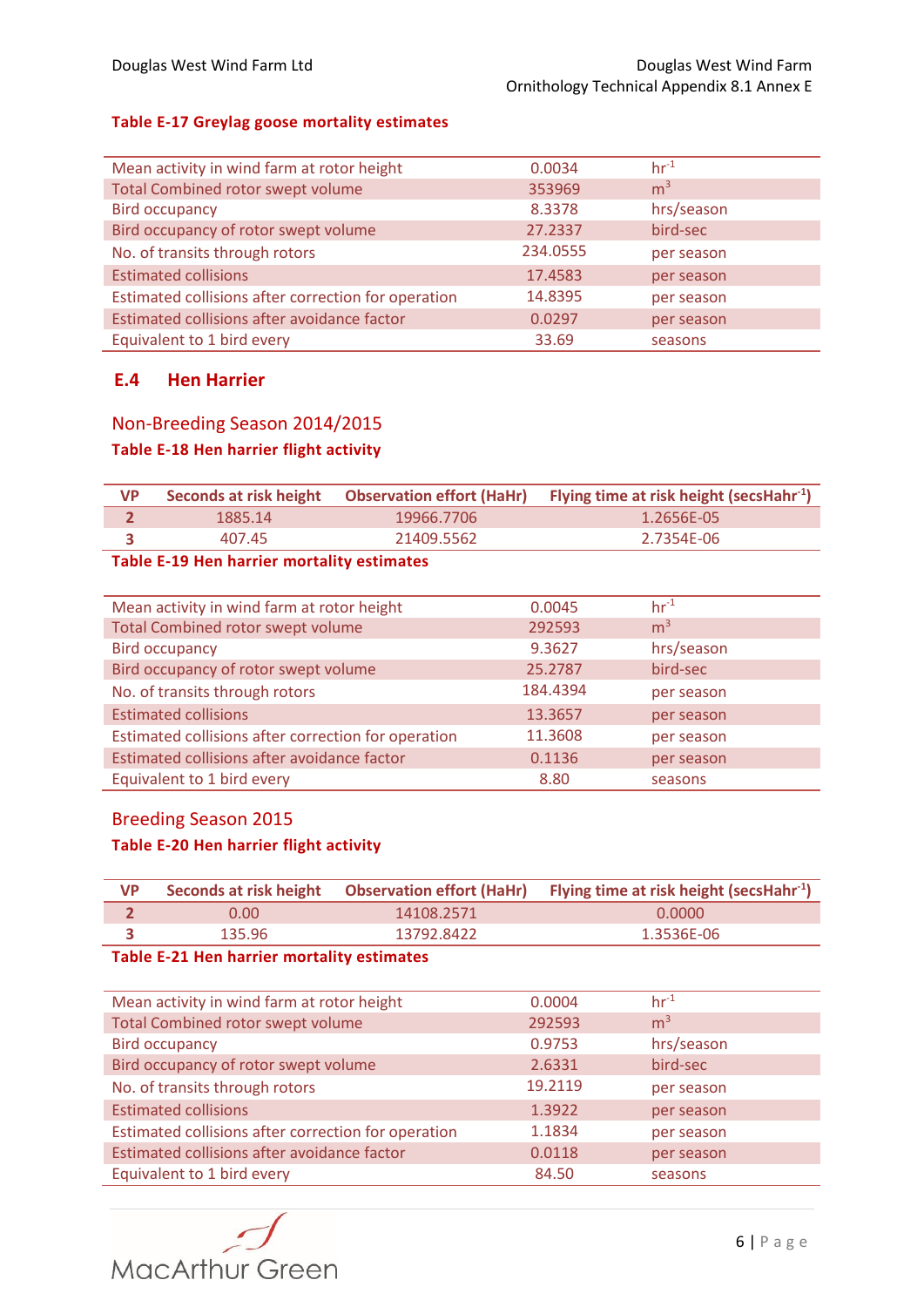#### **Table E-17 Greylag goose mortality estimates**

| Mean activity in wind farm at rotor height          | 0.0034   | $hr^{-1}$      |
|-----------------------------------------------------|----------|----------------|
| <b>Total Combined rotor swept volume</b>            | 353969   | m <sup>3</sup> |
| <b>Bird occupancy</b>                               | 8.3378   | hrs/season     |
| Bird occupancy of rotor swept volume                | 27.2337  | bird-sec       |
| No. of transits through rotors                      | 234.0555 | per season     |
| <b>Estimated collisions</b>                         | 17.4583  | per season     |
| Estimated collisions after correction for operation | 14.8395  | per season     |
| Estimated collisions after avoidance factor         | 0.0297   | per season     |
| Equivalent to 1 bird every                          | 33.69    | seasons        |

### **E.4 Hen Harrier**

## Non-Breeding Season 2014/2015 **Table E-18 Hen harrier flight activity**

| 19966.7706<br>1885.14<br>1.2656F-05 |  |
|-------------------------------------|--|
| 21409.5562<br>2.7354F-06<br>407.45  |  |

### **Table E-19 Hen harrier mortality estimates**

| Mean activity in wind farm at rotor height          | 0.0045   | $hr^{-1}$      |
|-----------------------------------------------------|----------|----------------|
| <b>Total Combined rotor swept volume</b>            | 292593   | m <sup>3</sup> |
| <b>Bird occupancy</b>                               | 9.3627   | hrs/season     |
| Bird occupancy of rotor swept volume                | 25.2787  | bird-sec       |
| No. of transits through rotors                      | 184.4394 | per season     |
| <b>Estimated collisions</b>                         | 13.3657  | per season     |
| Estimated collisions after correction for operation | 11.3608  | per season     |
| Estimated collisions after avoidance factor         | 0.1136   | per season     |
| Equivalent to 1 bird every                          | 8.80     | seasons        |

# Breeding Season 2015

### **Table E-20 Hen harrier flight activity**

| <b>VP</b> |        |            | Seconds at risk height Observation effort (HaHr) Flying time at risk height (secsHahr <sup>-1</sup> ) |
|-----------|--------|------------|-------------------------------------------------------------------------------------------------------|
|           | 0.00   | 14108.2571 | 0.0000                                                                                                |
|           | 135.96 | 13792.8422 | 1.3536E-06                                                                                            |

### **Table E-21 Hen harrier mortality estimates**

| Mean activity in wind farm at rotor height          | 0.0004  | $hr-1$         |
|-----------------------------------------------------|---------|----------------|
| <b>Total Combined rotor swept volume</b>            | 292593  | m <sup>3</sup> |
| <b>Bird occupancy</b>                               | 0.9753  | hrs/season     |
| Bird occupancy of rotor swept volume                | 2.6331  | bird-sec       |
| No. of transits through rotors                      | 19.2119 | per season     |
| <b>Estimated collisions</b>                         | 1.3922  | per season     |
| Estimated collisions after correction for operation | 1.1834  | per season     |
| Estimated collisions after avoidance factor         | 0.0118  | per season     |
| Equivalent to 1 bird every                          | 84.50   | seasons        |
|                                                     |         |                |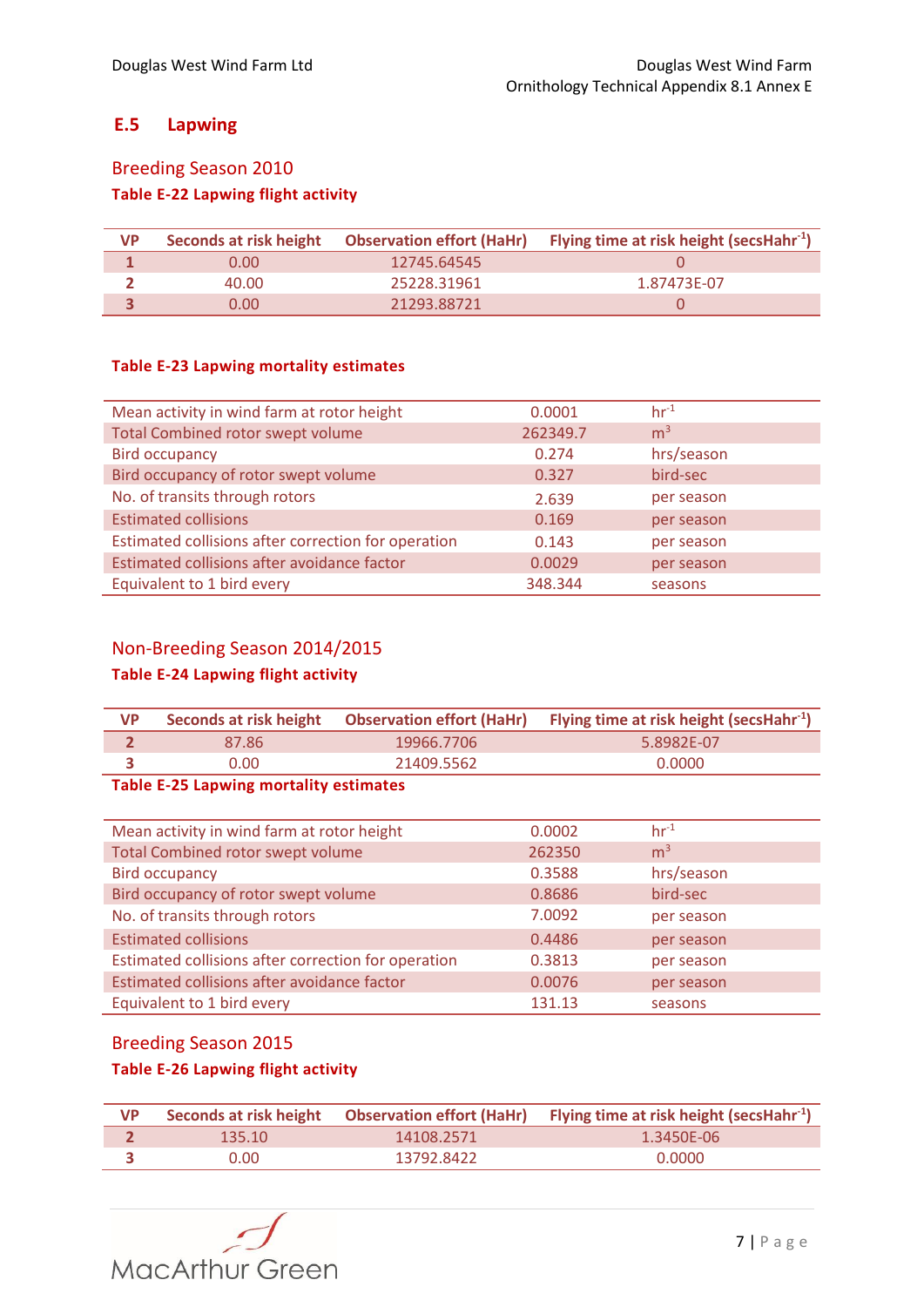## **E.5 Lapwing**

# Breeding Season 2010 **Table E-22 Lapwing flight activity**

| <b>VP</b> | Seconds at risk height | <b>Observation effort (HaHr)</b> | Flying time at risk height (secsHahr $^{-1}$ ) |
|-----------|------------------------|----------------------------------|------------------------------------------------|
|           | 0.00                   | 12745.64545                      |                                                |
|           | 40.00                  | 25228.31961                      | 1.87473E-07                                    |
|           | 0.00                   | 21293.88721                      |                                                |

### **Table E-23 Lapwing mortality estimates**

| Mean activity in wind farm at rotor height          | 0.0001   | $hr^{-1}$      |
|-----------------------------------------------------|----------|----------------|
| <b>Total Combined rotor swept volume</b>            | 262349.7 | m <sup>3</sup> |
| <b>Bird occupancy</b>                               | 0.274    | hrs/season     |
| Bird occupancy of rotor swept volume                | 0.327    | bird-sec       |
| No. of transits through rotors                      | 2.639    | per season     |
| <b>Estimated collisions</b>                         | 0.169    | per season     |
| Estimated collisions after correction for operation | 0.143    | per season     |
| Estimated collisions after avoidance factor         | 0.0029   | per season     |
| Equivalent to 1 bird every                          | 348.344  | seasons        |

## Non-Breeding Season 2014/2015

## **Table E-24 Lapwing flight activity**

| <b>VP</b> |       |            | Seconds at risk height Observation effort (HaHr) Flying time at risk height (secsHahr <sup>1</sup> ) |
|-----------|-------|------------|------------------------------------------------------------------------------------------------------|
|           | 87.86 | 19966.7706 | 5.8982F-07                                                                                           |
|           | 0.00. | 21409.5562 | 0.0000                                                                                               |

#### **Table E-25 Lapwing mortality estimates**

| Mean activity in wind farm at rotor height          | 0.0002 | $hr-1$         |
|-----------------------------------------------------|--------|----------------|
| Total Combined rotor swept volume                   | 262350 | m <sup>3</sup> |
| <b>Bird occupancy</b>                               | 0.3588 | hrs/season     |
| Bird occupancy of rotor swept volume                | 0.8686 | bird-sec       |
| No. of transits through rotors                      | 7.0092 | per season     |
| <b>Estimated collisions</b>                         | 0.4486 | per season     |
| Estimated collisions after correction for operation | 0.3813 | per season     |
| Estimated collisions after avoidance factor         | 0.0076 | per season     |
| Equivalent to 1 bird every                          | 131.13 | seasons        |

## Breeding Season 2015

## **Table E-26 Lapwing flight activity**

| <b>VP</b> |        |            | Seconds at risk height Observation effort (HaHr) Flying time at risk height (secsHahr <sup>-1</sup> ) |
|-----------|--------|------------|-------------------------------------------------------------------------------------------------------|
|           | 135.10 | 14108.2571 | 1.3450F-06                                                                                            |
|           | 0.00.  | 13792.8422 | 0.0000                                                                                                |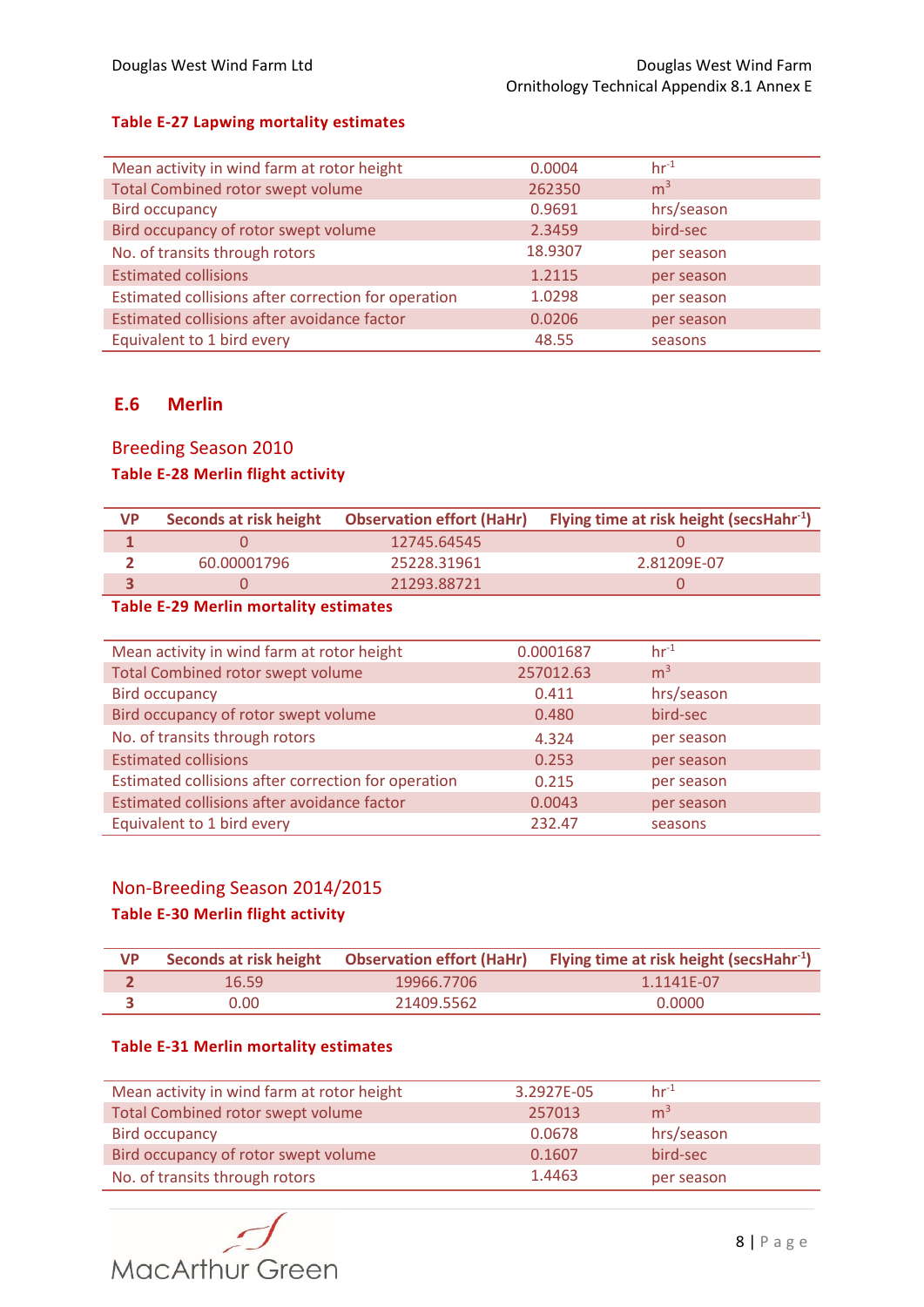#### **Table E-27 Lapwing mortality estimates**

| Mean activity in wind farm at rotor height          | 0.0004  | $hr^{-1}$      |
|-----------------------------------------------------|---------|----------------|
| <b>Total Combined rotor swept volume</b>            | 262350  | m <sup>3</sup> |
| <b>Bird occupancy</b>                               | 0.9691  | hrs/season     |
| Bird occupancy of rotor swept volume                | 2.3459  | bird-sec       |
| No. of transits through rotors                      | 18.9307 | per season     |
| <b>Estimated collisions</b>                         | 1.2115  | per season     |
| Estimated collisions after correction for operation | 1.0298  | per season     |
| Estimated collisions after avoidance factor         | 0.0206  | per season     |
| Equivalent to 1 bird every                          | 48.55   | seasons        |

## **E.6 Merlin**

#### Breeding Season 2010

### **Table E-28 Merlin flight activity**

| VP |             |             | Seconds at risk height Observation effort (HaHr) Flying time at risk height (secsHahr <sup>-1</sup> ) |
|----|-------------|-------------|-------------------------------------------------------------------------------------------------------|
|    |             | 12745.64545 |                                                                                                       |
|    | 60.00001796 | 25228.31961 | 2.81209F-07                                                                                           |
|    |             | 21293.88721 |                                                                                                       |

### **Table E-29 Merlin mortality estimates**

| Mean activity in wind farm at rotor height          | 0.0001687 | $hr-1$         |
|-----------------------------------------------------|-----------|----------------|
| <b>Total Combined rotor swept volume</b>            | 257012.63 | m <sup>3</sup> |
| <b>Bird occupancy</b>                               | 0.411     | hrs/season     |
| Bird occupancy of rotor swept volume                | 0.480     | bird-sec       |
| No. of transits through rotors                      | 4.324     | per season     |
| <b>Estimated collisions</b>                         | 0.253     | per season     |
| Estimated collisions after correction for operation | 0.215     | per season     |
| Estimated collisions after avoidance factor         | 0.0043    | per season     |
| Equivalent to 1 bird every                          | 232.47    | seasons        |

## Non-Breeding Season 2014/2015

## **Table E-30 Merlin flight activity**

| <b>VP</b> |       |            | Seconds at risk height Observation effort (HaHr) Flying time at risk height (secsHahr <sup>-1</sup> ) |
|-----------|-------|------------|-------------------------------------------------------------------------------------------------------|
|           | 16.59 | 19966.7706 | $1.1141E-07$                                                                                          |
|           | ი.იი. | 21409.5562 | 0.0000                                                                                                |

#### **Table E-31 Merlin mortality estimates**

| Mean activity in wind farm at rotor height | 3.2927E-05 | $hr-1$         |
|--------------------------------------------|------------|----------------|
| Total Combined rotor swept volume          | 257013     | m <sup>3</sup> |
| Bird occupancy                             | 0.0678     | hrs/season     |
| Bird occupancy of rotor swept volume       | 0.1607     | bird-sec       |
| No. of transits through rotors             | 1.4463     | per season     |

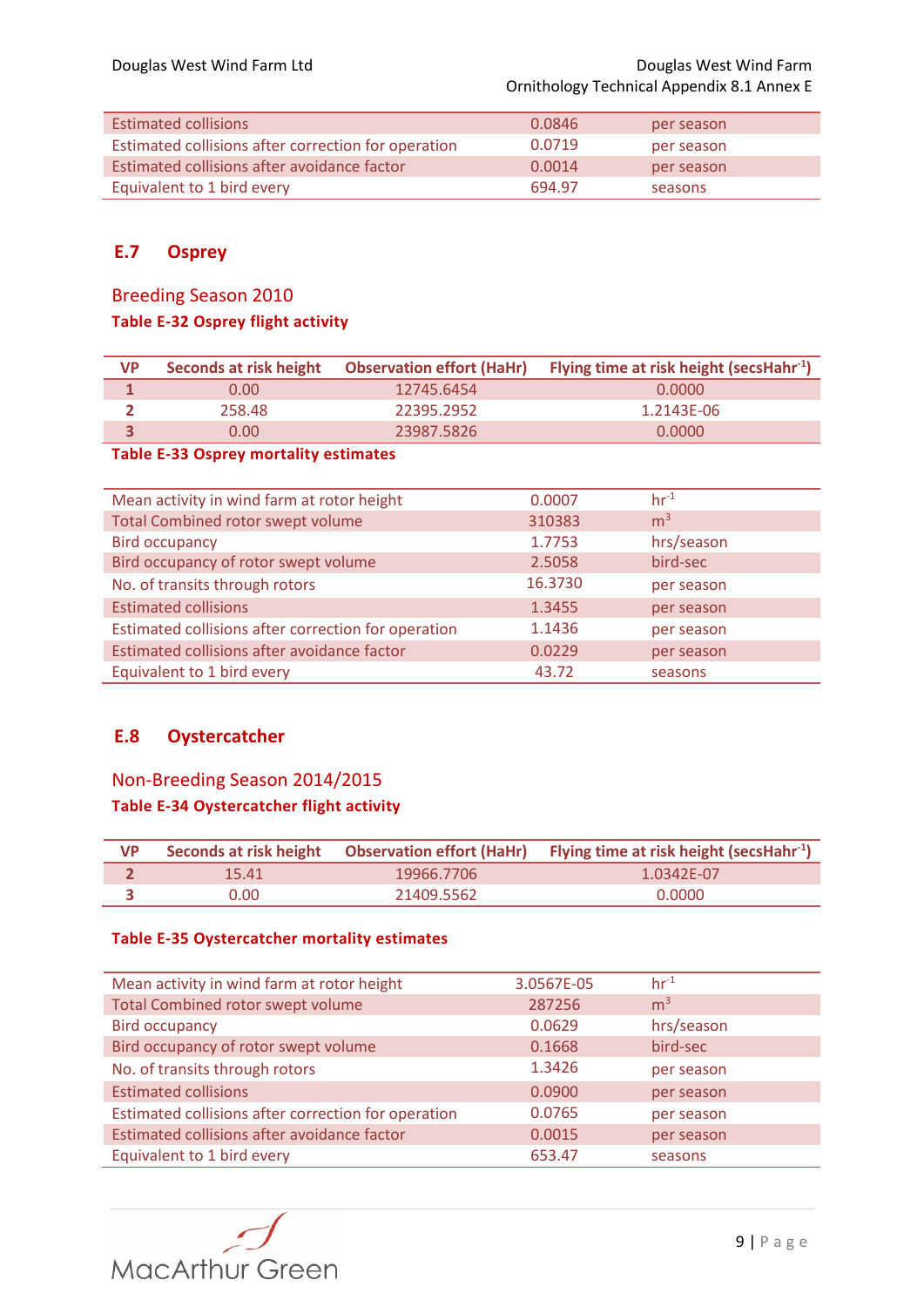| Estimated collisions                                | 0.0846 | per season |
|-----------------------------------------------------|--------|------------|
| Estimated collisions after correction for operation | 0.0719 | per season |
| Estimated collisions after avoidance factor         | 0.0014 | per season |
| Equivalent to 1 bird every                          | 694.97 | seasons    |

## **E.7 Osprey**

# Breeding Season 2010 **Table E-32 Osprey flight activity**

| VP | Seconds at risk height |            | Observation effort (HaHr) Flying time at risk height (secsHahr <sup>-1</sup> ) |
|----|------------------------|------------|--------------------------------------------------------------------------------|
|    | 0.00                   | 12745.6454 | 0.0000                                                                         |
|    | 258.48                 | 22395.2952 | 1.2143E-06                                                                     |
|    | 0.00                   | 23987.5826 | 0.0000                                                                         |

### **Table E-33 Osprey mortality estimates**

| Mean activity in wind farm at rotor height          | 0.0007  | $hr-1$         |
|-----------------------------------------------------|---------|----------------|
| <b>Total Combined rotor swept volume</b>            | 310383  | m <sup>3</sup> |
| <b>Bird occupancy</b>                               | 1.7753  | hrs/season     |
| Bird occupancy of rotor swept volume                | 2.5058  | bird-sec       |
| No. of transits through rotors                      | 16.3730 | per season     |
| <b>Estimated collisions</b>                         | 1.3455  | per season     |
| Estimated collisions after correction for operation | 1.1436  | per season     |
| Estimated collisions after avoidance factor         | 0.0229  | per season     |
| Equivalent to 1 bird every                          | 43.72   | seasons        |

## **E.8 Oystercatcher**

# Non-Breeding Season 2014/2015 **Table E-34 Oystercatcher flight activity**

| <b>VP</b> |       |            | Seconds at risk height Observation effort (HaHr) Flying time at risk height (secsHahr <sup>-1</sup> ) |
|-----------|-------|------------|-------------------------------------------------------------------------------------------------------|
|           | 15.41 | 19966.7706 | 1.0342E-07                                                                                            |
|           | 0.00  | 21409.5562 | 0.0000                                                                                                |

#### **Table E-35 Oystercatcher mortality estimates**

| Mean activity in wind farm at rotor height          | 3.0567E-05 | $hr^{-1}$      |
|-----------------------------------------------------|------------|----------------|
| <b>Total Combined rotor swept volume</b>            | 287256     | m <sup>3</sup> |
| <b>Bird occupancy</b>                               | 0.0629     | hrs/season     |
| Bird occupancy of rotor swept volume                | 0.1668     | bird-sec       |
| No. of transits through rotors                      | 1.3426     | per season     |
| <b>Estimated collisions</b>                         | 0.0900     | per season     |
| Estimated collisions after correction for operation | 0.0765     | per season     |
| Estimated collisions after avoidance factor         | 0.0015     | per season     |
| Equivalent to 1 bird every                          | 653.47     | seasons        |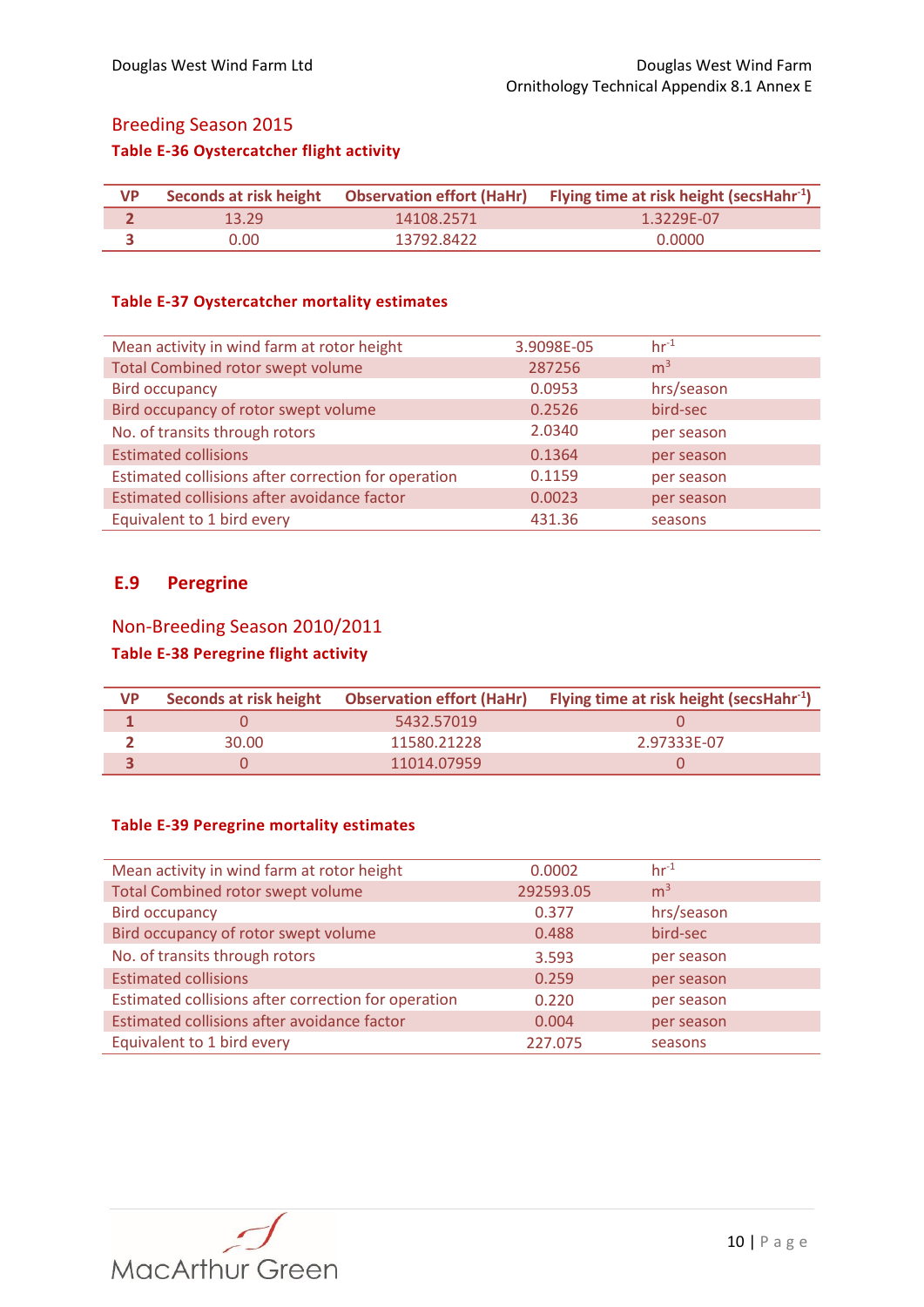# Breeding Season 2015 **Table E-36 Oystercatcher flight activity**

| <b>VP</b> |       |            | Seconds at risk height Observation effort (HaHr) Flying time at risk height (secsHahr <sup>-1</sup> ) |
|-----------|-------|------------|-------------------------------------------------------------------------------------------------------|
|           | 13.29 | 14108.2571 | 1.3229F-07                                                                                            |
|           | 0.00  | 13792.8422 | 0.0000                                                                                                |

#### **Table E-37 Oystercatcher mortality estimates**

| Mean activity in wind farm at rotor height          | 3.9098E-05 | $hr^{-1}$      |
|-----------------------------------------------------|------------|----------------|
| <b>Total Combined rotor swept volume</b>            | 287256     | m <sup>3</sup> |
| <b>Bird occupancy</b>                               | 0.0953     | hrs/season     |
| Bird occupancy of rotor swept volume                | 0.2526     | bird-sec       |
| No. of transits through rotors                      | 2.0340     | per season     |
| <b>Estimated collisions</b>                         | 0.1364     | per season     |
| Estimated collisions after correction for operation | 0.1159     | per season     |
| Estimated collisions after avoidance factor         | 0.0023     | per season     |
| Equivalent to 1 bird every                          | 431.36     | seasons        |

### **E.9 Peregrine**

## Non-Breeding Season 2010/2011

## **Table E-38 Peregrine flight activity**

| <b>VP</b> |       | Seconds at risk height  Observation effort (HaHr) | <b>Flying time at risk height (secsHahr</b> <sup>-1</sup> ) |
|-----------|-------|---------------------------------------------------|-------------------------------------------------------------|
|           |       | 5432.57019                                        |                                                             |
|           | 30.00 | 11580.21228                                       | 2.97333F-07                                                 |
|           |       | 11014.07959                                       |                                                             |

### **Table E-39 Peregrine mortality estimates**

| Mean activity in wind farm at rotor height          | 0.0002    | $hr-1$         |
|-----------------------------------------------------|-----------|----------------|
| <b>Total Combined rotor swept volume</b>            | 292593.05 | m <sup>3</sup> |
| <b>Bird occupancy</b>                               | 0.377     | hrs/season     |
| Bird occupancy of rotor swept volume                | 0.488     | bird-sec       |
| No. of transits through rotors                      | 3.593     | per season     |
| <b>Estimated collisions</b>                         | 0.259     | per season     |
| Estimated collisions after correction for operation | 0.220     | per season     |
| Estimated collisions after avoidance factor         | 0.004     | per season     |
| Equivalent to 1 bird every                          | 227.075   | seasons        |

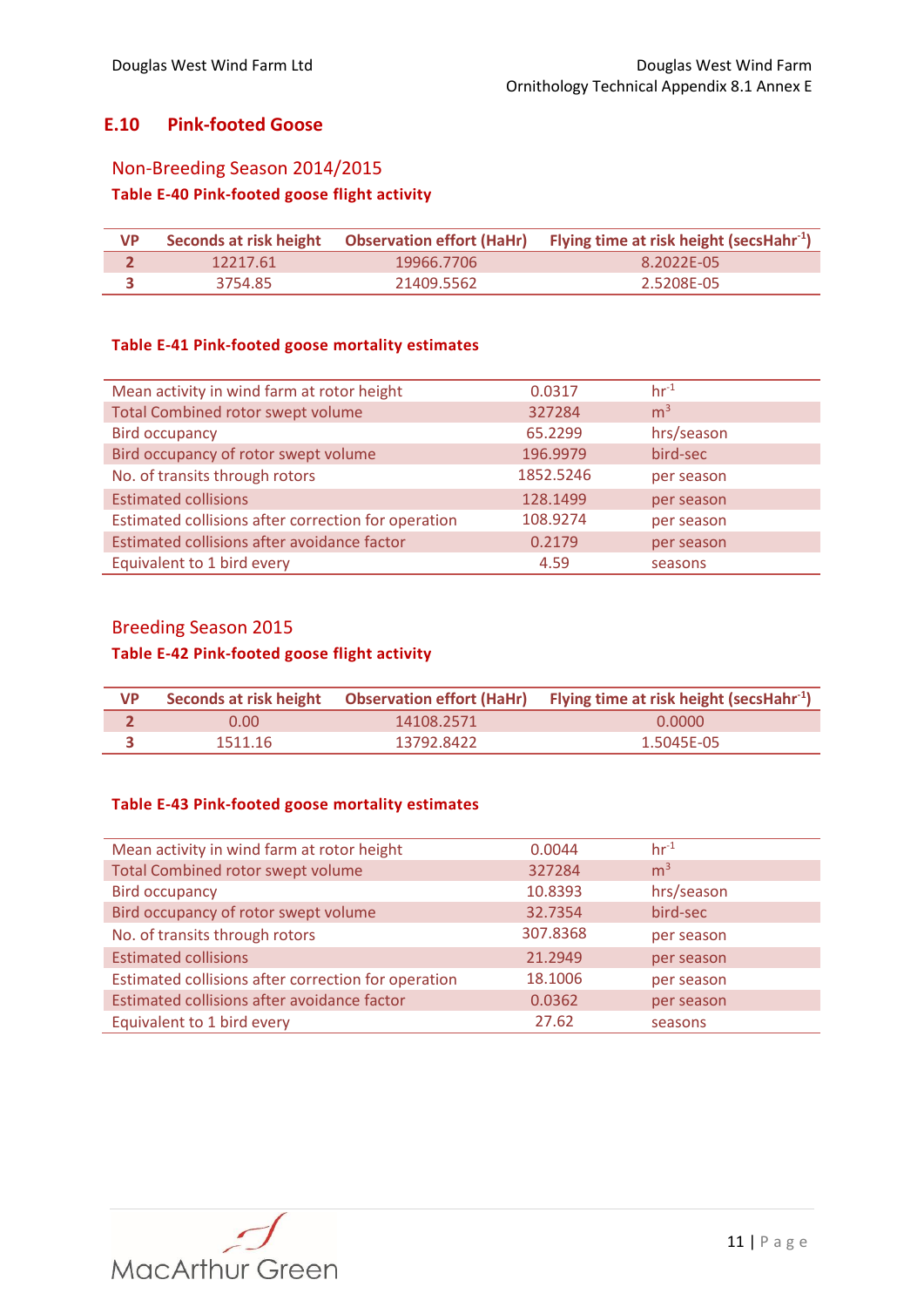## **E.10 Pink-footed Goose**

#### Non-Breeding Season 2014/2015

## **Table E-40 Pink-footed goose flight activity**

| <b>VP</b> |          |            | Seconds at risk height Observation effort (HaHr) Flying time at risk height (secsHahr <sup>-1</sup> ) |
|-----------|----------|------------|-------------------------------------------------------------------------------------------------------|
|           | 12217.61 | 19966.7706 | 8.2022F-05                                                                                            |
|           | 3754.85  | 21409.5562 | 2.5208E-05                                                                                            |

#### **Table E-41 Pink-footed goose mortality estimates**

| Mean activity in wind farm at rotor height          | 0.0317    | $hr-1$         |
|-----------------------------------------------------|-----------|----------------|
| <b>Total Combined rotor swept volume</b>            | 327284    | m <sup>3</sup> |
| <b>Bird occupancy</b>                               | 65.2299   | hrs/season     |
| Bird occupancy of rotor swept volume                | 196.9979  | bird-sec       |
| No. of transits through rotors                      | 1852.5246 | per season     |
| <b>Estimated collisions</b>                         | 128.1499  | per season     |
| Estimated collisions after correction for operation | 108.9274  | per season     |
| Estimated collisions after avoidance factor         | 0.2179    | per season     |
| Equivalent to 1 bird every                          | 4.59      | seasons        |

## Breeding Season 2015

#### **Table E-42 Pink-footed goose flight activity**

| <b>VP</b> |         |            | Seconds at risk height Observation effort (HaHr) Flying time at risk height (secsHahr <sup>-1</sup> ) |
|-----------|---------|------------|-------------------------------------------------------------------------------------------------------|
|           | 0.00    | 14108.2571 | 0.0000                                                                                                |
|           | 1511.16 | 13792.8422 | 1.5045F-05                                                                                            |

#### **Table E-43 Pink-footed goose mortality estimates**

| Mean activity in wind farm at rotor height          | 0.0044   | $hr-1$         |
|-----------------------------------------------------|----------|----------------|
| <b>Total Combined rotor swept volume</b>            | 327284   | m <sup>3</sup> |
| <b>Bird occupancy</b>                               | 10.8393  | hrs/season     |
| Bird occupancy of rotor swept volume                | 32.7354  | bird-sec       |
| No. of transits through rotors                      | 307.8368 | per season     |
| <b>Estimated collisions</b>                         | 21.2949  | per season     |
| Estimated collisions after correction for operation | 18.1006  | per season     |
| Estimated collisions after avoidance factor         | 0.0362   | per season     |
| Equivalent to 1 bird every                          | 27.62    | seasons        |

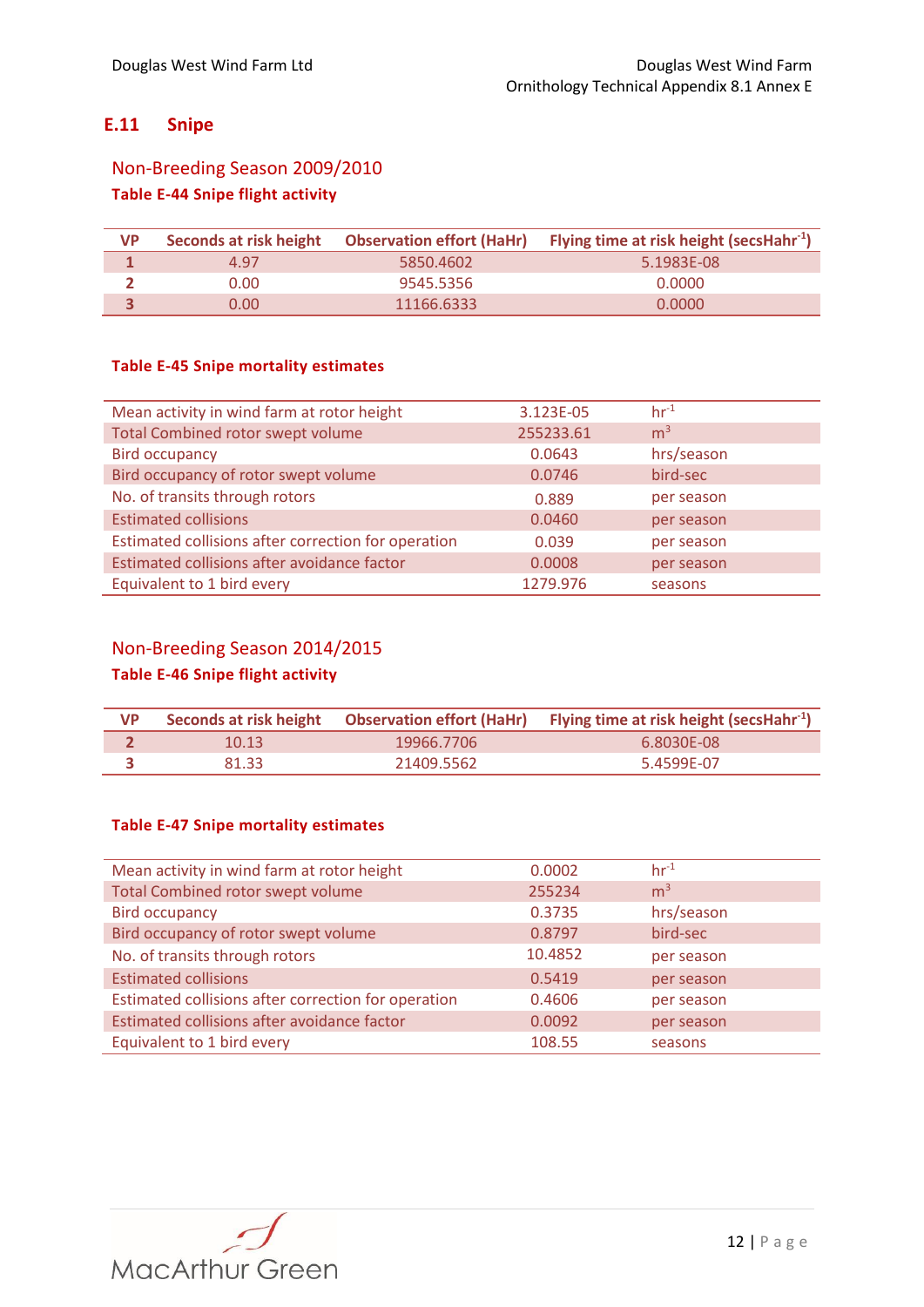## **E.11 Snipe**

# Non-Breeding Season 2009/2010 **Table E-44 Snipe flight activity**

| <b>VP</b> | Seconds at risk height | <b>Observation effort (HaHr)</b> | Flying time at risk height (secsHahr <sup>-1</sup> ) |
|-----------|------------------------|----------------------------------|------------------------------------------------------|
|           | 4.97                   | 5850.4602                        | 5.1983F-08                                           |
|           | 0.001                  | 9545.5356                        | 0.0000                                               |
|           | 0.00                   | 11166.6333                       | 0.0000                                               |

#### **Table E-45 Snipe mortality estimates**

| Mean activity in wind farm at rotor height          | 3.123E-05 | $hr^{-1}$      |
|-----------------------------------------------------|-----------|----------------|
| <b>Total Combined rotor swept volume</b>            | 255233.61 | m <sup>3</sup> |
| <b>Bird occupancy</b>                               | 0.0643    | hrs/season     |
| Bird occupancy of rotor swept volume                | 0.0746    | bird-sec       |
| No. of transits through rotors                      | 0.889     | per season     |
| <b>Estimated collisions</b>                         | 0.0460    | per season     |
| Estimated collisions after correction for operation | 0.039     | per season     |
| Estimated collisions after avoidance factor         | 0.0008    | per season     |
| Equivalent to 1 bird every                          | 1279.976  | seasons        |

## Non-Breeding Season 2014/2015

# **Table E-46 Snipe flight activity**

| <b>VP</b> |       |            | Seconds at risk height Observation effort (HaHr) Flying time at risk height (secsHahr <sup>-1</sup> ) |
|-----------|-------|------------|-------------------------------------------------------------------------------------------------------|
|           | 10.13 | 19966.7706 | 6.8030F-08                                                                                            |
|           | 81.33 | 21409.5562 | 5.4599E-07                                                                                            |

### **Table E-47 Snipe mortality estimates**

| Mean activity in wind farm at rotor height          | 0.0002  | $hr-1$         |
|-----------------------------------------------------|---------|----------------|
| Total Combined rotor swept volume                   | 255234  | m <sup>3</sup> |
| <b>Bird occupancy</b>                               | 0.3735  | hrs/season     |
| Bird occupancy of rotor swept volume                | 0.8797  | bird-sec       |
| No. of transits through rotors                      | 10.4852 | per season     |
| <b>Estimated collisions</b>                         | 0.5419  | per season     |
| Estimated collisions after correction for operation | 0.4606  | per season     |
| Estimated collisions after avoidance factor         | 0.0092  | per season     |
| Equivalent to 1 bird every                          | 108.55  | seasons        |